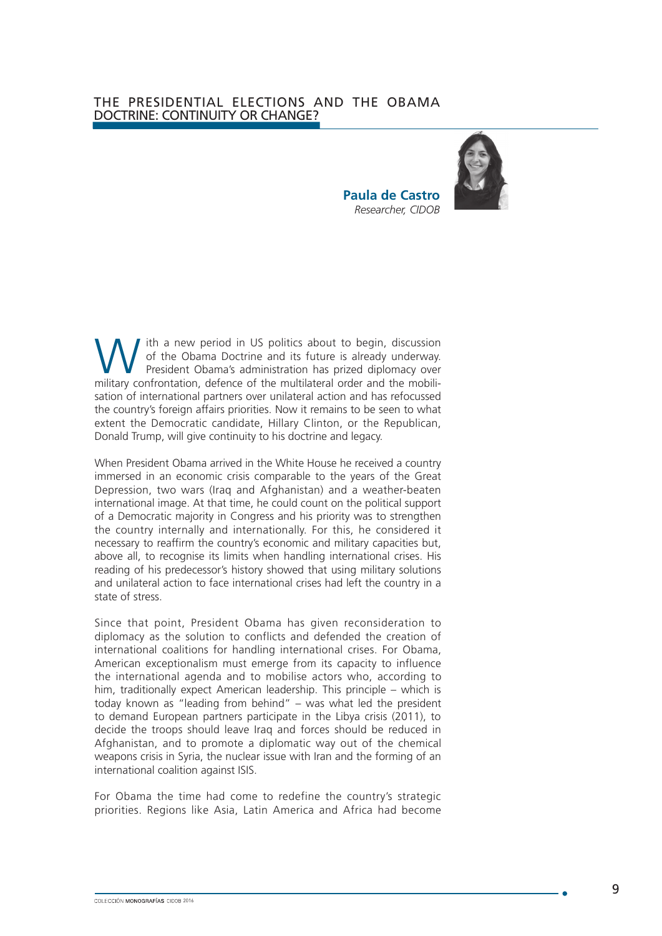## THE PRESIDENTIAL ELECTIONS AND THE OBAMA DOCTRINE: CONTINUITY OR CHANGE?



W ith a new period in US politics about to begin, discussion<br>
of the Obama Doctrine and its future is already underway.<br>
President Obama's administration has prized diplomacy over<br>
military confrontation defense of the mul of the Obama Doctrine and its future is already underway. military confrontation, defence of the multilateral order and the mobilisation of international partners over unilateral action and has refocussed the country's foreign affairs priorities. Now it remains to be seen to what extent the Democratic candidate, Hillary Clinton, or the Republican, Donald Trump, will give continuity to his doctrine and legacy.

When President Obama arrived in the White House he received a country immersed in an economic crisis comparable to the years of the Great Depression, two wars (Iraq and Afghanistan) and a weather-beaten international image. At that time, he could count on the political support of a Democratic majority in Congress and his priority was to strengthen the country internally and internationally. For this, he considered it necessary to reaffirm the country's economic and military capacities but, above all, to recognise its limits when handling international crises. His reading of his predecessor's history showed that using military solutions and unilateral action to face international crises had left the country in a state of stress.

Since that point, President Obama has given reconsideration to diplomacy as the solution to conflicts and defended the creation of international coalitions for handling international crises. For Obama, American exceptionalism must emerge from its capacity to influence the international agenda and to mobilise actors who, according to him, traditionally expect American leadership. This principle – which is today known as "leading from behind" – was what led the president to demand European partners participate in the Libya crisis (2011), to decide the troops should leave Iraq and forces should be reduced in Afghanistan, and to promote a diplomatic way out of the chemical weapons crisis in Syria, the nuclear issue with Iran and the forming of an international coalition against ISIS.

For Obama the time had come to redefine the country's strategic priorities. Regions like Asia, Latin America and Africa had become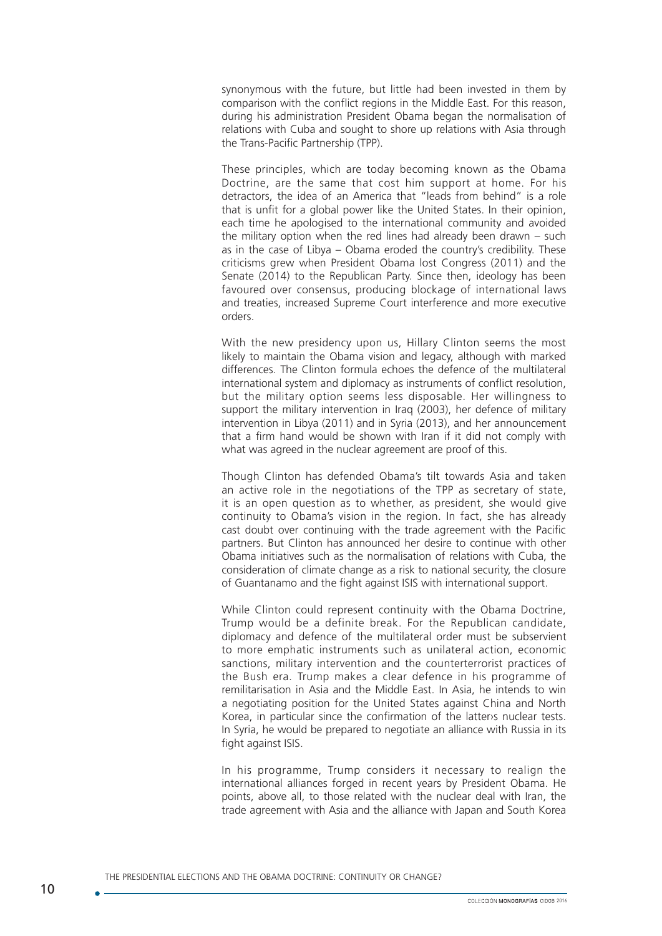synonymous with the future, but little had been invested in them by comparison with the conflict regions in the Middle East. For this reason, during his administration President Obama began the normalisation of relations with Cuba and sought to shore up relations with Asia through the Trans-Pacific Partnership (TPP).

These principles, which are today becoming known as the Obama Doctrine, are the same that cost him support at home. For his detractors, the idea of an America that "leads from behind" is a role that is unfit for a global power like the United States. In their opinion, each time he apologised to the international community and avoided the military option when the red lines had already been drawn – such as in the case of Libya – Obama eroded the country's credibility. These criticisms grew when President Obama lost Congress (2011) and the Senate (2014) to the Republican Party. Since then, ideology has been favoured over consensus, producing blockage of international laws and treaties, increased Supreme Court interference and more executive orders.

With the new presidency upon us, Hillary Clinton seems the most likely to maintain the Obama vision and legacy, although with marked differences. The Clinton formula echoes the defence of the multilateral international system and diplomacy as instruments of conflict resolution, but the military option seems less disposable. Her willingness to support the military intervention in Iraq (2003), her defence of military intervention in Libya (2011) and in Syria (2013), and her announcement that a firm hand would be shown with Iran if it did not comply with what was agreed in the nuclear agreement are proof of this.

Though Clinton has defended Obama's tilt towards Asia and taken an active role in the negotiations of the TPP as secretary of state, it is an open question as to whether, as president, she would give continuity to Obama's vision in the region. In fact, she has already cast doubt over continuing with the trade agreement with the Pacific partners. But Clinton has announced her desire to continue with other Obama initiatives such as the normalisation of relations with Cuba, the consideration of climate change as a risk to national security, the closure of Guantanamo and the fight against ISIS with international support.

While Clinton could represent continuity with the Obama Doctrine, Trump would be a definite break. For the Republican candidate, diplomacy and defence of the multilateral order must be subservient to more emphatic instruments such as unilateral action, economic sanctions, military intervention and the counterterrorist practices of the Bush era. Trump makes a clear defence in his programme of remilitarisation in Asia and the Middle East. In Asia, he intends to win a negotiating position for the United States against China and North Korea, in particular since the confirmation of the latter›s nuclear tests. In Syria, he would be prepared to negotiate an alliance with Russia in its fight against ISIS.

In his programme, Trump considers it necessary to realign the international alliances forged in recent years by President Obama. He points, above all, to those related with the nuclear deal with Iran, the trade agreement with Asia and the alliance with Japan and South Korea

THE PRESIDENTIAL ELECTIONS AND THE OBAMA DOCTRINE: CONTINUITY OR CHANGE?